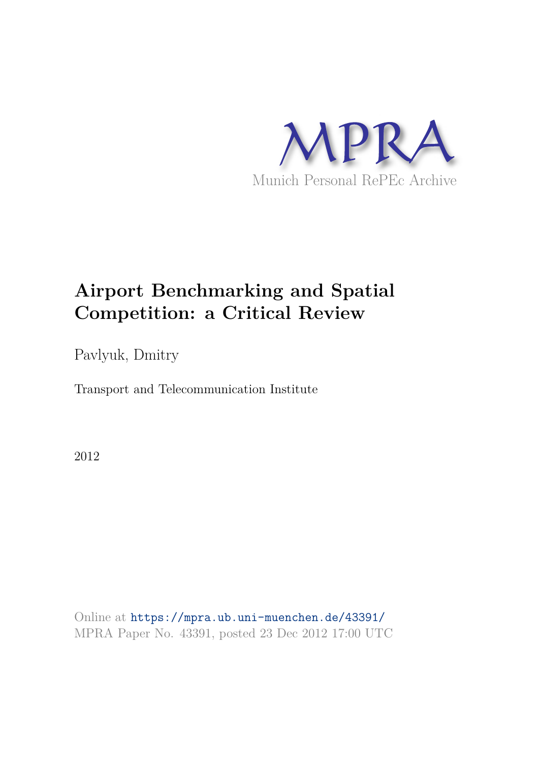

# **Airport Benchmarking and Spatial Competition: a Critical Review**

Pavlyuk, Dmitry

Transport and Telecommunication Institute

2012

Online at https://mpra.ub.uni-muenchen.de/43391/ MPRA Paper No. 43391, posted 23 Dec 2012 17:00 UTC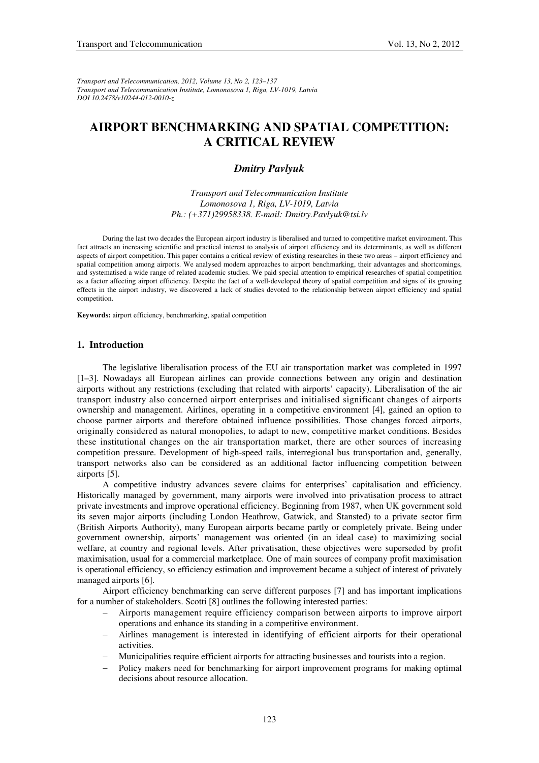*Transport and Telecommunication, 2012, Volume 13, No 2, 123–137 Transport and Telecommunication Institute, Lomonosova 1, Riga, LV-1019, Latvia DOI 10.2478/v10244-012-0010-z* 

# **AIRPORT BENCHMARKING AND SPATIAL COMPETITION: A CRITICAL REVIEW**

# *Dmitry Pavlyuk*

*Transport and Telecommunication Institute Lomonosova 1, Riga, LV-1019, Latvia Ph.: (+371)29958338. E-mail: Dmitry.Pavlyuk@tsi.lv* 

During the last two decades the European airport industry is liberalised and turned to competitive market environment. This fact attracts an increasing scientific and practical interest to analysis of airport efficiency and its determinants, as well as different aspects of airport competition. This paper contains a critical review of existing researches in these two areas – airport efficiency and spatial competition among airports. We analysed modern approaches to airport benchmarking, their advantages and shortcomings, and systematised a wide range of related academic studies. We paid special attention to empirical researches of spatial competition as a factor affecting airport efficiency. Despite the fact of a well-developed theory of spatial competition and signs of its growing effects in the airport industry, we discovered a lack of studies devoted to the relationship between airport efficiency and spatial competition.

**Keywords:** airport efficiency, benchmarking, spatial competition

# **1. Introduction**

The legislative liberalisation process of the EU air transportation market was completed in 1997 [1–3]. Nowadays all European airlines can provide connections between any origin and destination airports without any restrictions (excluding that related with airports' capacity). Liberalisation of the air transport industry also concerned airport enterprises and initialised significant changes of airports ownership and management. Airlines, operating in a competitive environment [4], gained an option to choose partner airports and therefore obtained influence possibilities. Those changes forced airports, originally considered as natural monopolies, to adapt to new, competitive market conditions. Besides these institutional changes on the air transportation market, there are other sources of increasing competition pressure. Development of high-speed rails, interregional bus transportation and, generally, transport networks also can be considered as an additional factor influencing competition between airports [5].

A competitive industry advances severe claims for enterprises' capitalisation and efficiency. Historically managed by government, many airports were involved into privatisation process to attract private investments and improve operational efficiency. Beginning from 1987, when UK government sold its seven major airports (including London Heathrow, Gatwick, and Stansted) to a private sector firm (British Airports Authority), many European airports became partly or completely private. Being under government ownership, airports' management was oriented (in an ideal case) to maximizing social welfare, at country and regional levels. After privatisation, these objectives were superseded by profit maximisation, usual for a commercial marketplace. One of main sources of company profit maximisation is operational efficiency, so efficiency estimation and improvement became a subject of interest of privately managed airports [6].

Airport efficiency benchmarking can serve different purposes [7] and has important implications for a number of stakeholders. Scotti [8] outlines the following interested parties:

- − Airports management require efficiency comparison between airports to improve airport operations and enhance its standing in a competitive environment.
- − Airlines management is interested in identifying of efficient airports for their operational activities.
- − Municipalities require efficient airports for attracting businesses and tourists into a region.
- − Policy makers need for benchmarking for airport improvement programs for making optimal decisions about resource allocation.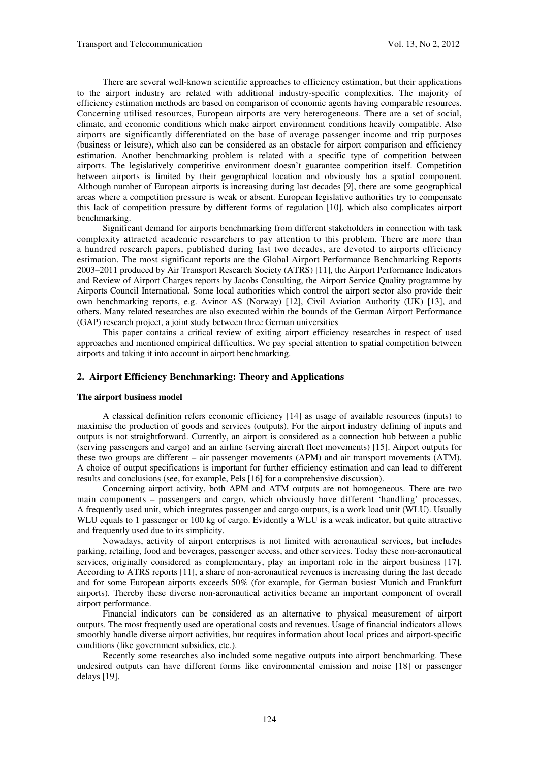There are several well-known scientific approaches to efficiency estimation, but their applications to the airport industry are related with additional industry-specific complexities. The majority of efficiency estimation methods are based on comparison of economic agents having comparable resources. Concerning utilised resources, European airports are very heterogeneous. There are a set of social, climate, and economic conditions which make airport environment conditions heavily compatible. Also airports are significantly differentiated on the base of average passenger income and trip purposes (business or leisure), which also can be considered as an obstacle for airport comparison and efficiency estimation. Another benchmarking problem is related with a specific type of competition between airports. The legislatively competitive environment doesn't guarantee competition itself. Competition between airports is limited by their geographical location and obviously has a spatial component. Although number of European airports is increasing during last decades [9], there are some geographical areas where a competition pressure is weak or absent. European legislative authorities try to compensate this lack of competition pressure by different forms of regulation [10], which also complicates airport benchmarking.

Significant demand for airports benchmarking from different stakeholders in connection with task complexity attracted academic researchers to pay attention to this problem. There are more than a hundred research papers, published during last two decades, are devoted to airports efficiency estimation. The most significant reports are the Global Airport Performance Benchmarking Reports 2003–2011 produced by Air Transport Research Society (ATRS) [11], the Airport Performance Indicators and Review of Airport Charges reports by Jacobs Consulting, the Airport Service Quality programme by Airports Council International. Some local authorities which control the airport sector also provide their own benchmarking reports, e.g. Avinor AS (Norway) [12], Civil Aviation Authority (UK) [13], and others. Many related researches are also executed within the bounds of the German Airport Performance (GAP) research project, a joint study between three German universities

This paper contains a critical review of exiting airport efficiency researches in respect of used approaches and mentioned empirical difficulties. We pay special attention to spatial competition between airports and taking it into account in airport benchmarking.

# **2. Airport Efficiency Benchmarking: Theory and Applications**

#### **The airport business model**

A classical definition refers economic efficiency [14] as usage of available resources (inputs) to maximise the production of goods and services (outputs). For the airport industry defining of inputs and outputs is not straightforward. Currently, an airport is considered as a connection hub between a public (serving passengers and cargo) and an airline (serving aircraft fleet movements) [15]. Airport outputs for these two groups are different – air passenger movements (APM) and air transport movements (ATM). A choice of output specifications is important for further efficiency estimation and can lead to different results and conclusions (see, for example, Pels [16] for a comprehensive discussion).

Concerning airport activity, both APM and ATM outputs are not homogeneous. There are two main components – passengers and cargo, which obviously have different 'handling' processes. A frequently used unit, which integrates passenger and cargo outputs, is a work load unit (WLU). Usually WLU equals to 1 passenger or 100 kg of cargo. Evidently a WLU is a weak indicator, but quite attractive and frequently used due to its simplicity.

Nowadays, activity of airport enterprises is not limited with aeronautical services, but includes parking, retailing, food and beverages, passenger access, and other services. Today these non-aeronautical services, originally considered as complementary, play an important role in the airport business [17]. According to ATRS reports [11], a share of non-aeronautical revenues is increasing during the last decade and for some European airports exceeds 50% (for example, for German busiest Munich and Frankfurt airports). Thereby these diverse non-aeronautical activities became an important component of overall airport performance.

Financial indicators can be considered as an alternative to physical measurement of airport outputs. The most frequently used are operational costs and revenues. Usage of financial indicators allows smoothly handle diverse airport activities, but requires information about local prices and airport-specific conditions (like government subsidies, etc.).

Recently some researches also included some negative outputs into airport benchmarking. These undesired outputs can have different forms like environmental emission and noise [18] or passenger delays [19].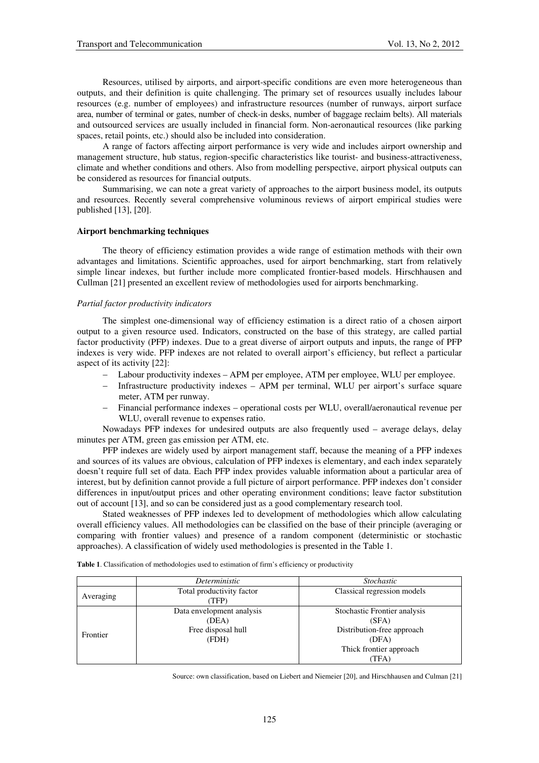Resources, utilised by airports, and airport-specific conditions are even more heterogeneous than outputs, and their definition is quite challenging. The primary set of resources usually includes labour resources (e.g. number of employees) and infrastructure resources (number of runways, airport surface area, number of terminal or gates, number of check-in desks, number of baggage reclaim belts). All materials and outsourced services are usually included in financial form. Non-aeronautical resources (like parking spaces, retail points, etc.) should also be included into consideration.

A range of factors affecting airport performance is very wide and includes airport ownership and management structure, hub status, region-specific characteristics like tourist- and business-attractiveness, climate and whether conditions and others. Also from modelling perspective, airport physical outputs can be considered as resources for financial outputs.

Summarising, we can note a great variety of approaches to the airport business model, its outputs and resources. Recently several comprehensive voluminous reviews of airport empirical studies were published [13], [20].

## **Airport benchmarking techniques**

The theory of efficiency estimation provides a wide range of estimation methods with their own advantages and limitations. Scientific approaches, used for airport benchmarking, start from relatively simple linear indexes, but further include more complicated frontier-based models. Hirschhausen and Cullman [21] presented an excellent review of methodologies used for airports benchmarking.

## *Partial factor productivity indicators*

The simplest one-dimensional way of efficiency estimation is a direct ratio of a chosen airport output to a given resource used. Indicators, constructed on the base of this strategy, are called partial factor productivity (PFP) indexes. Due to a great diverse of airport outputs and inputs, the range of PFP indexes is very wide. PFP indexes are not related to overall airport's efficiency, but reflect a particular aspect of its activity [22]:

- − Labour productivity indexes APM per employee, ATM per employee, WLU per employee.
- − Infrastructure productivity indexes APM per terminal, WLU per airport's surface square meter, ATM per runway.
- − Financial performance indexes operational costs per WLU, overall/aeronautical revenue per WLU, overall revenue to expenses ratio.

Nowadays PFP indexes for undesired outputs are also frequently used – average delays, delay minutes per ATM, green gas emission per ATM, etc.

PFP indexes are widely used by airport management staff, because the meaning of a PFP indexes and sources of its values are obvious, calculation of PFP indexes is elementary, and each index separately doesn't require full set of data. Each PFP index provides valuable information about a particular area of interest, but by definition cannot provide a full picture of airport performance. PFP indexes don't consider differences in input/output prices and other operating environment conditions; leave factor substitution out of account [13], and so can be considered just as a good complementary research tool.

Stated weaknesses of PFP indexes led to development of methodologies which allow calculating overall efficiency values. All methodologies can be classified on the base of their principle (averaging or comparing with frontier values) and presence of a random component (deterministic or stochastic approaches). A classification of widely used methodologies is presented in the Table 1.

|           | Deterministic                                                     | <b>Stochastic</b>                                                                                                |
|-----------|-------------------------------------------------------------------|------------------------------------------------------------------------------------------------------------------|
| Averaging | Total productivity factor<br>(TFP)                                | Classical regression models                                                                                      |
| Frontier  | Data envelopment analysis<br>(DEA)<br>Free disposal hull<br>(FDH) | Stochastic Frontier analysis<br>(SFA)<br>Distribution-free approach<br>(DFA)<br>Thick frontier approach<br>(TFA) |

**Table 1**. Classification of methodologies used to estimation of firm's efficiency or productivity

Source: own classification, based on Liebert and Niemeier [20], and Hirschhausen and Culman [21]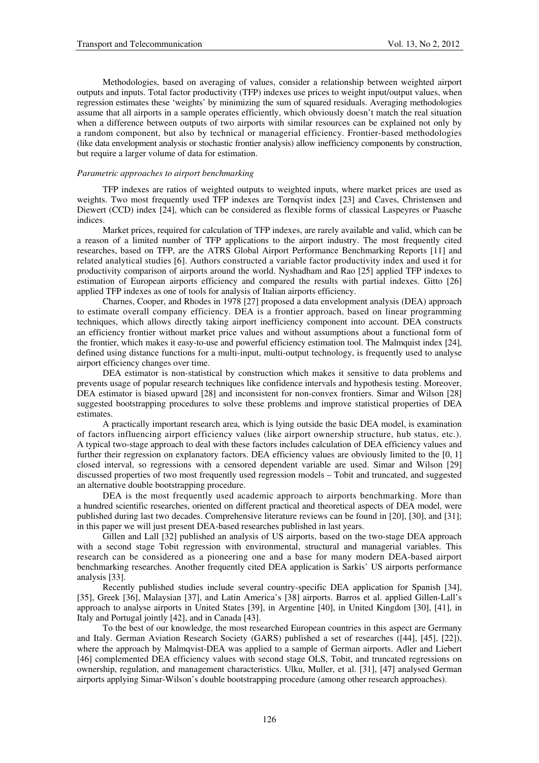Methodologies, based on averaging of values, consider a relationship between weighted airport outputs and inputs. Total factor productivity (TFP) indexes use prices to weight input/output values, when regression estimates these 'weights' by minimizing the sum of squared residuals. Averaging methodologies assume that all airports in a sample operates efficiently, which obviously doesn't match the real situation when a difference between outputs of two airports with similar resources can be explained not only by a random component, but also by technical or managerial efficiency. Frontier-based methodologies (like data envelopment analysis or stochastic frontier analysis) allow inefficiency components by construction, but require a larger volume of data for estimation.

## *Parametric approaches to airport benchmarking*

TFP indexes are ratios of weighted outputs to weighted inputs, where market prices are used as weights. Two most frequently used TFP indexes are Tornqvist index [23] and Caves, Christensen and Diewert (CCD) index [24], which can be considered as flexible forms of classical Laspeyres or Paasche indices.

Market prices, required for calculation of TFP indexes, are rarely available and valid, which can be a reason of a limited number of TFP applications to the airport industry. The most frequently cited researches, based on TFP, are the ATRS Global Airport Performance Benchmarking Reports [11] and related analytical studies [6]. Authors constructed a variable factor productivity index and used it for productivity comparison of airports around the world. Nyshadham and Rao [25] applied TFP indexes to estimation of European airports efficiency and compared the results with partial indexes. Gitto [26] applied TFP indexes as one of tools for analysis of Italian airports efficiency.

Charnes, Cooper, and Rhodes in 1978 [27] proposed a data envelopment analysis (DEA) approach to estimate overall company efficiency. DEA is a frontier approach, based on linear programming techniques, which allows directly taking airport inefficiency component into account. DEA constructs an efficiency frontier without market price values and without assumptions about a functional form of the frontier, which makes it easy-to-use and powerful efficiency estimation tool. The Malmquist index [24], defined using distance functions for a multi-input, multi-output technology, is frequently used to analyse airport efficiency changes over time.

DEA estimator is non-statistical by construction which makes it sensitive to data problems and prevents usage of popular research techniques like confidence intervals and hypothesis testing. Moreover, DEA estimator is biased upward [28] and inconsistent for non-convex frontiers. Simar and Wilson [28] suggested bootstrapping procedures to solve these problems and improve statistical properties of DEA estimates.

A practically important research area, which is lying outside the basic DEA model, is examination of factors influencing airport efficiency values (like airport ownership structure, hub status, etc.). A typical two-stage approach to deal with these factors includes calculation of DEA efficiency values and further their regression on explanatory factors. DEA efficiency values are obviously limited to the [0, 1] closed interval, so regressions with a censored dependent variable are used. Simar and Wilson [29] discussed properties of two most frequently used regression models – Tobit and truncated, and suggested an alternative double bootstrapping procedure.

DEA is the most frequently used academic approach to airports benchmarking. More than a hundred scientific researches, oriented on different practical and theoretical aspects of DEA model, were published during last two decades. Comprehensive literature reviews can be found in [20], [30], and [31]; in this paper we will just present DEA-based researches published in last years.

Gillen and Lall [32] published an analysis of US airports, based on the two-stage DEA approach with a second stage Tobit regression with environmental, structural and managerial variables. This research can be considered as a pioneering one and a base for many modern DEA-based airport benchmarking researches. Another frequently cited DEA application is Sarkis' US airports performance analysis [33].

Recently published studies include several country-specific DEA application for Spanish [34], [35], Greek [36], Malaysian [37], and Latin America's [38] airports. Barros et al. applied Gillen-Lall's approach to analyse airports in United States [39], in Argentine [40], in United Kingdom [30], [41], in Italy and Portugal jointly [42], and in Canada [43].

To the best of our knowledge, the most researched European countries in this aspect are Germany and Italy. German Aviation Research Society (GARS) published a set of researches ([44], [45], [22]), where the approach by Malmqvist-DEA was applied to a sample of German airports. Adler and Liebert [46] complemented DEA efficiency values with second stage OLS, Tobit, and truncated regressions on ownership, regulation, and management characteristics. Ulku, Muller, et al. [31], [47] analysed German airports applying Simar-Wilson's double bootstrapping procedure (among other research approaches).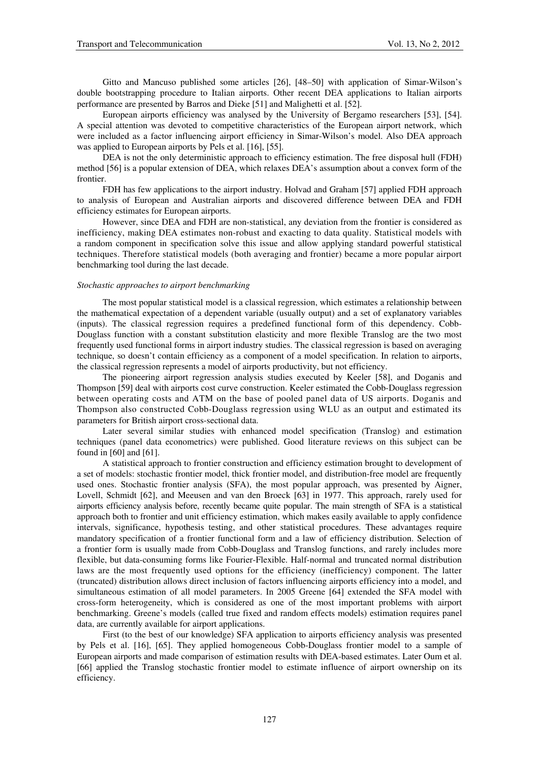Gitto and Mancuso published some articles [26], [48–50] with application of Simar-Wilson's double bootstrapping procedure to Italian airports. Other recent DEA applications to Italian airports performance are presented by Barros and Dieke [51] and Malighetti et al. [52].

European airports efficiency was analysed by the University of Bergamo researchers [53], [54]. A special attention was devoted to competitive characteristics of the European airport network, which were included as a factor influencing airport efficiency in Simar-Wilson's model. Also DEA approach was applied to European airports by Pels et al. [16], [55].

DEA is not the only deterministic approach to efficiency estimation. The free disposal hull (FDH) method [56] is a popular extension of DEA, which relaxes DEA's assumption about a convex form of the frontier.

FDH has few applications to the airport industry. Holvad and Graham [57] applied FDH approach to analysis of European and Australian airports and discovered difference between DEA and FDH efficiency estimates for European airports.

However, since DEA and FDH are non-statistical, any deviation from the frontier is considered as inefficiency, making DEA estimates non-robust and exacting to data quality. Statistical models with a random component in specification solve this issue and allow applying standard powerful statistical techniques. Therefore statistical models (both averaging and frontier) became a more popular airport benchmarking tool during the last decade.

# *Stochastic approaches to airport benchmarking*

The most popular statistical model is a classical regression, which estimates a relationship between the mathematical expectation of a dependent variable (usually output) and a set of explanatory variables (inputs). The classical regression requires a predefined functional form of this dependency. Cobb-Douglass function with a constant substitution elasticity and more flexible Translog are the two most frequently used functional forms in airport industry studies. The classical regression is based on averaging technique, so doesn't contain efficiency as a component of a model specification. In relation to airports, the classical regression represents a model of airports productivity, but not efficiency.

The pioneering airport regression analysis studies executed by Keeler [58], and Doganis and Thompson [59] deal with airports cost curve construction. Keeler estimated the Cobb-Douglass regression between operating costs and ATM on the base of pooled panel data of US airports. Doganis and Thompson also constructed Cobb-Douglass regression using WLU as an output and estimated its parameters for British airport cross-sectional data.

Later several similar studies with enhanced model specification (Translog) and estimation techniques (panel data econometrics) were published. Good literature reviews on this subject can be found in [60] and [61].

A statistical approach to frontier construction and efficiency estimation brought to development of a set of models: stochastic frontier model, thick frontier model, and distribution-free model are frequently used ones. Stochastic frontier analysis (SFA), the most popular approach, was presented by Aigner, Lovell, Schmidt [62], and Meeusen and van den Broeck [63] in 1977. This approach, rarely used for airports efficiency analysis before, recently became quite popular. The main strength of SFA is a statistical approach both to frontier and unit efficiency estimation, which makes easily available to apply confidence intervals, significance, hypothesis testing, and other statistical procedures. These advantages require mandatory specification of a frontier functional form and a law of efficiency distribution. Selection of a frontier form is usually made from Cobb-Douglass and Translog functions, and rarely includes more flexible, but data-consuming forms like Fourier-Flexible. Half-normal and truncated normal distribution laws are the most frequently used options for the efficiency (inefficiency) component. The latter (truncated) distribution allows direct inclusion of factors influencing airports efficiency into a model, and simultaneous estimation of all model parameters. In 2005 Greene [64] extended the SFA model with cross-form heterogeneity, which is considered as one of the most important problems with airport benchmarking. Greene's models (called true fixed and random effects models) estimation requires panel data, are currently available for airport applications.

First (to the best of our knowledge) SFA application to airports efficiency analysis was presented by Pels et al. [16], [65]. They applied homogeneous Cobb-Douglass frontier model to a sample of European airports and made comparison of estimation results with DEA-based estimates. Later Oum et al. [66] applied the Translog stochastic frontier model to estimate influence of airport ownership on its efficiency.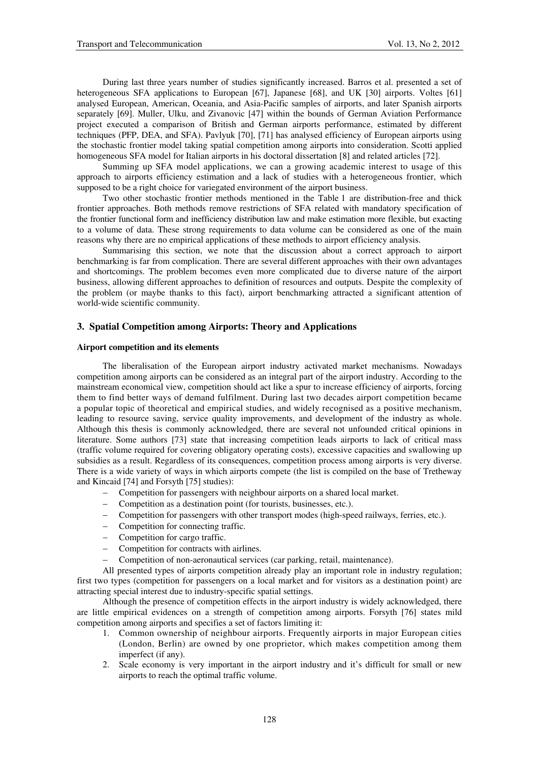During last three years number of studies significantly increased. Barros et al. presented a set of heterogeneous SFA applications to European [67], Japanese [68], and UK [30] airports. Voltes [61] analysed European, American, Oceania, and Asia-Pacific samples of airports, and later Spanish airports separately [69]. Muller, Ulku, and Zivanovic [47] within the bounds of German Aviation Performance project executed a comparison of British and German airports performance, estimated by different techniques (PFP, DEA, and SFA). Pavlyuk [70], [71] has analysed efficiency of European airports using the stochastic frontier model taking spatial competition among airports into consideration. Scotti applied homogeneous SFA model for Italian airports in his doctoral dissertation [8] and related articles [72].

Summing up SFA model applications, we can a growing academic interest to usage of this approach to airports efficiency estimation and a lack of studies with a heterogeneous frontier, which supposed to be a right choice for variegated environment of the airport business.

Two other stochastic frontier methods mentioned in the Table 1 are distribution-free and thick frontier approaches. Both methods remove restrictions of SFA related with mandatory specification of the frontier functional form and inefficiency distribution law and make estimation more flexible, but exacting to a volume of data. These strong requirements to data volume can be considered as one of the main reasons why there are no empirical applications of these methods to airport efficiency analysis.

Summarising this section, we note that the discussion about a correct approach to airport benchmarking is far from complication. There are several different approaches with their own advantages and shortcomings. The problem becomes even more complicated due to diverse nature of the airport business, allowing different approaches to definition of resources and outputs. Despite the complexity of the problem (or maybe thanks to this fact), airport benchmarking attracted a significant attention of world-wide scientific community.

# **3. Spatial Competition among Airports: Theory and Applications**

## **Airport competition and its elements**

The liberalisation of the European airport industry activated market mechanisms. Nowadays competition among airports can be considered as an integral part of the airport industry. According to the mainstream economical view, competition should act like a spur to increase efficiency of airports, forcing them to find better ways of demand fulfilment. During last two decades airport competition became a popular topic of theoretical and empirical studies, and widely recognised as a positive mechanism, leading to resource saving, service quality improvements, and development of the industry as whole. Although this thesis is commonly acknowledged, there are several not unfounded critical opinions in literature. Some authors [73] state that increasing competition leads airports to lack of critical mass (traffic volume required for covering obligatory operating costs), excessive capacities and swallowing up subsidies as a result. Regardless of its consequences, competition process among airports is very diverse. There is a wide variety of ways in which airports compete (the list is compiled on the base of Tretheway and Kincaid [74] and Forsyth [75] studies):

- − Competition for passengers with neighbour airports on a shared local market.
- − Competition as a destination point (for tourists, businesses, etc.).
- − Competition for passengers with other transport modes (high-speed railways, ferries, etc.).
- Competition for connecting traffic.
- − Competition for cargo traffic.
- − Competition for contracts with airlines.
- − Competition of non-aeronautical services (car parking, retail, maintenance).

All presented types of airports competition already play an important role in industry regulation; first two types (competition for passengers on a local market and for visitors as a destination point) are attracting special interest due to industry-specific spatial settings.

Although the presence of competition effects in the airport industry is widely acknowledged, there are little empirical evidences on a strength of competition among airports. Forsyth [76] states mild competition among airports and specifies a set of factors limiting it:

- 1. Common ownership of neighbour airports. Frequently airports in major European cities (London, Berlin) are owned by one proprietor, which makes competition among them imperfect (if any).
- 2. Scale economy is very important in the airport industry and it's difficult for small or new airports to reach the optimal traffic volume.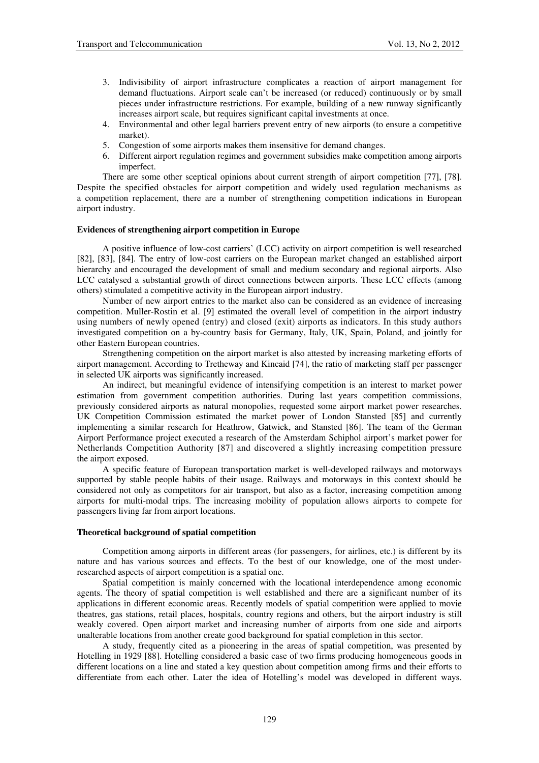- 3. Indivisibility of airport infrastructure complicates a reaction of airport management for demand fluctuations. Airport scale can't be increased (or reduced) continuously or by small pieces under infrastructure restrictions. For example, building of a new runway significantly increases airport scale, but requires significant capital investments at once.
- 4. Environmental and other legal barriers prevent entry of new airports (to ensure a competitive market).
- 5. Congestion of some airports makes them insensitive for demand changes.
- 6. Different airport regulation regimes and government subsidies make competition among airports imperfect.

There are some other sceptical opinions about current strength of airport competition [77], [78]. Despite the specified obstacles for airport competition and widely used regulation mechanisms as a competition replacement, there are a number of strengthening competition indications in European airport industry.

## **Evidences of strengthening airport competition in Europe**

A positive influence of low-cost carriers' (LCC) activity on airport competition is well researched [82], [83], [84]. The entry of low-cost carriers on the European market changed an established airport hierarchy and encouraged the development of small and medium secondary and regional airports. Also LCC catalysed a substantial growth of direct connections between airports. These LCC effects (among others) stimulated a competitive activity in the European airport industry.

Number of new airport entries to the market also can be considered as an evidence of increasing competition. Muller-Rostin et al. [9] estimated the overall level of competition in the airport industry using numbers of newly opened (entry) and closed (exit) airports as indicators. In this study authors investigated competition on a by-country basis for Germany, Italy, UK, Spain, Poland, and jointly for other Eastern European countries.

Strengthening competition on the airport market is also attested by increasing marketing efforts of airport management. According to Tretheway and Kincaid [74], the ratio of marketing staff per passenger in selected UK airports was significantly increased.

An indirect, but meaningful evidence of intensifying competition is an interest to market power estimation from government competition authorities. During last years competition commissions, previously considered airports as natural monopolies, requested some airport market power researches. UK Competition Commission estimated the market power of London Stansted [85] and currently implementing a similar research for Heathrow, Gatwick, and Stansted [86]. The team of the German Airport Performance project executed a research of the Amsterdam Schiphol airport's market power for Netherlands Competition Authority [87] and discovered a slightly increasing competition pressure the airport exposed.

A specific feature of European transportation market is well-developed railways and motorways supported by stable people habits of their usage. Railways and motorways in this context should be considered not only as competitors for air transport, but also as a factor, increasing competition among airports for multi-modal trips. The increasing mobility of population allows airports to compete for passengers living far from airport locations.

#### **Theoretical background of spatial competition**

Competition among airports in different areas (for passengers, for airlines, etc.) is different by its nature and has various sources and effects. To the best of our knowledge, one of the most underresearched aspects of airport competition is a spatial one.

Spatial competition is mainly concerned with the locational interdependence among economic agents. The theory of spatial competition is well established and there are a significant number of its applications in different economic areas. Recently models of spatial competition were applied to movie theatres, gas stations, retail places, hospitals, country regions and others, but the airport industry is still weakly covered. Open airport market and increasing number of airports from one side and airports unalterable locations from another create good background for spatial completion in this sector.

A study, frequently cited as a pioneering in the areas of spatial competition, was presented by Hotelling in 1929 [88]. Hotelling considered a basic case of two firms producing homogeneous goods in different locations on a line and stated a key question about competition among firms and their efforts to differentiate from each other. Later the idea of Hotelling's model was developed in different ways.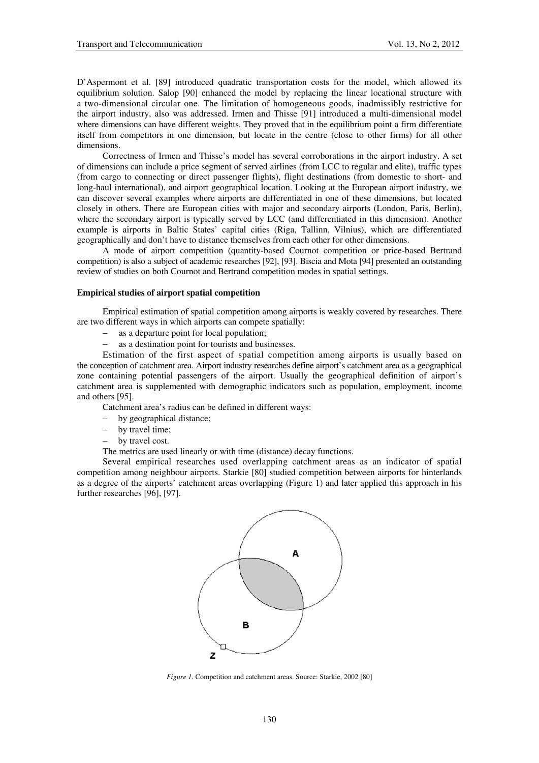D'Aspermont et al. [89] introduced quadratic transportation costs for the model, which allowed its equilibrium solution. Salop [90] enhanced the model by replacing the linear locational structure with a two-dimensional circular one. The limitation of homogeneous goods, inadmissibly restrictive for the airport industry, also was addressed. Irmen and Thisse [91] introduced a multi-dimensional model where dimensions can have different weights. They proved that in the equilibrium point a firm differentiate itself from competitors in one dimension, but locate in the centre (close to other firms) for all other dimensions.

Correctness of Irmen and Thisse's model has several corroborations in the airport industry. A set of dimensions can include a price segment of served airlines (from LCC to regular and elite), traffic types (from cargo to connecting or direct passenger flights), flight destinations (from domestic to short- and long-haul international), and airport geographical location. Looking at the European airport industry, we can discover several examples where airports are differentiated in one of these dimensions, but located closely in others. There are European cities with major and secondary airports (London, Paris, Berlin), where the secondary airport is typically served by LCC (and differentiated in this dimension). Another example is airports in Baltic States' capital cities (Riga, Tallinn, Vilnius), which are differentiated geographically and don't have to distance themselves from each other for other dimensions.

A mode of airport competition (quantity-based Cournot competition or price-based Bertrand competition) is also a subject of academic researches [92], [93]. Biscia and Mota [94] presented an outstanding review of studies on both Cournot and Bertrand competition modes in spatial settings.

# **Empirical studies of airport spatial competition**

Empirical estimation of spatial competition among airports is weakly covered by researches. There are two different ways in which airports can compete spatially:

- as a departure point for local population;
- as a destination point for tourists and businesses.

Estimation of the first aspect of spatial competition among airports is usually based on the conception of catchment area. Airport industry researches define airport's catchment area as a geographical zone containing potential passengers of the airport. Usually the geographical definition of airport's catchment area is supplemented with demographic indicators such as population, employment, income and others [95].

Catchment area's radius can be defined in different ways:

- by geographical distance;
- − by travel time;
- − by travel cost.

The metrics are used linearly or with time (distance) decay functions.

Several empirical researches used overlapping catchment areas as an indicator of spatial competition among neighbour airports. Starkie [80] studied competition between airports for hinterlands as a degree of the airports' catchment areas overlapping (Figure 1) and later applied this approach in his further researches [96], [97].



*Figure 1.* Competition and catchment areas. Source: Starkie, 2002 [80]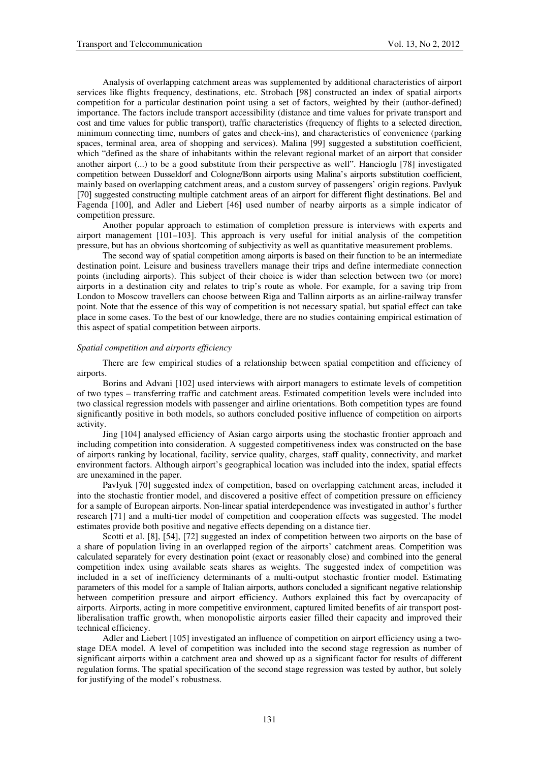Analysis of overlapping catchment areas was supplemented by additional characteristics of airport services like flights frequency, destinations, etc. Strobach [98] constructed an index of spatial airports competition for a particular destination point using a set of factors, weighted by their (author-defined) importance. The factors include transport accessibility (distance and time values for private transport and cost and time values for public transport), traffic characteristics (frequency of flights to a selected direction, minimum connecting time, numbers of gates and check-ins), and characteristics of convenience (parking spaces, terminal area, area of shopping and services). Malina [99] suggested a substitution coefficient, which "defined as the share of inhabitants within the relevant regional market of an airport that consider another airport (...) to be a good substitute from their perspective as well". Hancioglu [78] investigated competition between Dusseldorf and Cologne/Bonn airports using Malina's airports substitution coefficient, mainly based on overlapping catchment areas, and a custom survey of passengers' origin regions. Pavlyuk [70] suggested constructing multiple catchment areas of an airport for different flight destinations. Bel and Fagenda [100], and Adler and Liebert [46] used number of nearby airports as a simple indicator of competition pressure.

Another popular approach to estimation of completion pressure is interviews with experts and airport management [101–103]. This approach is very useful for initial analysis of the competition pressure, but has an obvious shortcoming of subjectivity as well as quantitative measurement problems.

The second way of spatial competition among airports is based on their function to be an intermediate destination point. Leisure and business travellers manage their trips and define intermediate connection points (including airports). This subject of their choice is wider than selection between two (or more) airports in a destination city and relates to trip's route as whole. For example, for a saving trip from London to Moscow travellers can choose between Riga and Tallinn airports as an airline-railway transfer point. Note that the essence of this way of competition is not necessary spatial, but spatial effect can take place in some cases. To the best of our knowledge, there are no studies containing empirical estimation of this aspect of spatial competition between airports.

#### *Spatial competition and airports efficiency*

There are few empirical studies of a relationship between spatial competition and efficiency of airports.

Borins and Advani [102] used interviews with airport managers to estimate levels of competition of two types – transferring traffic and catchment areas. Estimated competition levels were included into two classical regression models with passenger and airline orientations. Both competition types are found significantly positive in both models, so authors concluded positive influence of competition on airports activity.

Jing [104] analysed efficiency of Asian cargo airports using the stochastic frontier approach and including competition into consideration. A suggested competitiveness index was constructed on the base of airports ranking by locational, facility, service quality, charges, staff quality, connectivity, and market environment factors. Although airport's geographical location was included into the index, spatial effects are unexamined in the paper.

Pavlyuk [70] suggested index of competition, based on overlapping catchment areas, included it into the stochastic frontier model, and discovered a positive effect of competition pressure on efficiency for a sample of European airports. Non-linear spatial interdependence was investigated in author's further research [71] and a multi-tier model of competition and cooperation effects was suggested. The model estimates provide both positive and negative effects depending on a distance tier.

Scotti et al. [8], [54], [72] suggested an index of competition between two airports on the base of a share of population living in an overlapped region of the airports' catchment areas. Competition was calculated separately for every destination point (exact or reasonably close) and combined into the general competition index using available seats shares as weights. The suggested index of competition was included in a set of inefficiency determinants of a multi-output stochastic frontier model. Estimating parameters of this model for a sample of Italian airports, authors concluded a significant negative relationship between competition pressure and airport efficiency. Authors explained this fact by overcapacity of airports. Airports, acting in more competitive environment, captured limited benefits of air transport postliberalisation traffic growth, when monopolistic airports easier filled their capacity and improved their technical efficiency.

Adler and Liebert [105] investigated an influence of competition on airport efficiency using a twostage DEA model. A level of competition was included into the second stage regression as number of significant airports within a catchment area and showed up as a significant factor for results of different regulation forms. The spatial specification of the second stage regression was tested by author, but solely for justifying of the model's robustness.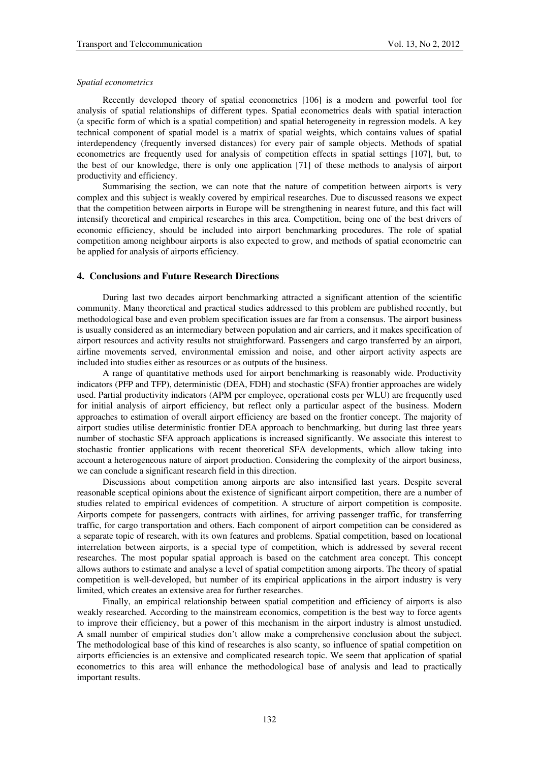# *Spatial econometrics*

Recently developed theory of spatial econometrics [106] is a modern and powerful tool for analysis of spatial relationships of different types. Spatial econometrics deals with spatial interaction (a specific form of which is a spatial competition) and spatial heterogeneity in regression models. A key technical component of spatial model is a matrix of spatial weights, which contains values of spatial interdependency (frequently inversed distances) for every pair of sample objects. Methods of spatial econometrics are frequently used for analysis of competition effects in spatial settings [107], but, to the best of our knowledge, there is only one application [71] of these methods to analysis of airport productivity and efficiency.

Summarising the section, we can note that the nature of competition between airports is very complex and this subject is weakly covered by empirical researches. Due to discussed reasons we expect that the competition between airports in Europe will be strengthening in nearest future, and this fact will intensify theoretical and empirical researches in this area. Competition, being one of the best drivers of economic efficiency, should be included into airport benchmarking procedures. The role of spatial competition among neighbour airports is also expected to grow, and methods of spatial econometric can be applied for analysis of airports efficiency.

# **4. Conclusions and Future Research Directions**

During last two decades airport benchmarking attracted a significant attention of the scientific community. Many theoretical and practical studies addressed to this problem are published recently, but methodological base and even problem specification issues are far from a consensus. The airport business is usually considered as an intermediary between population and air carriers, and it makes specification of airport resources and activity results not straightforward. Passengers and cargo transferred by an airport, airline movements served, environmental emission and noise, and other airport activity aspects are included into studies either as resources or as outputs of the business.

A range of quantitative methods used for airport benchmarking is reasonably wide. Productivity indicators (PFP and TFP), deterministic (DEA, FDH) and stochastic (SFA) frontier approaches are widely used. Partial productivity indicators (APM per employee, operational costs per WLU) are frequently used for initial analysis of airport efficiency, but reflect only a particular aspect of the business. Modern approaches to estimation of overall airport efficiency are based on the frontier concept. The majority of airport studies utilise deterministic frontier DEA approach to benchmarking, but during last three years number of stochastic SFA approach applications is increased significantly. We associate this interest to stochastic frontier applications with recent theoretical SFA developments, which allow taking into account a heterogeneous nature of airport production. Considering the complexity of the airport business, we can conclude a significant research field in this direction.

Discussions about competition among airports are also intensified last years. Despite several reasonable sceptical opinions about the existence of significant airport competition, there are a number of studies related to empirical evidences of competition. A structure of airport competition is composite. Airports compete for passengers, contracts with airlines, for arriving passenger traffic, for transferring traffic, for cargo transportation and others. Each component of airport competition can be considered as a separate topic of research, with its own features and problems. Spatial competition, based on locational interrelation between airports, is a special type of competition, which is addressed by several recent researches. The most popular spatial approach is based on the catchment area concept. This concept allows authors to estimate and analyse a level of spatial competition among airports. The theory of spatial competition is well-developed, but number of its empirical applications in the airport industry is very limited, which creates an extensive area for further researches.

Finally, an empirical relationship between spatial competition and efficiency of airports is also weakly researched. According to the mainstream economics, competition is the best way to force agents to improve their efficiency, but a power of this mechanism in the airport industry is almost unstudied. A small number of empirical studies don't allow make a comprehensive conclusion about the subject. The methodological base of this kind of researches is also scanty, so influence of spatial competition on airports efficiencies is an extensive and complicated research topic. We seem that application of spatial econometrics to this area will enhance the methodological base of analysis and lead to practically important results.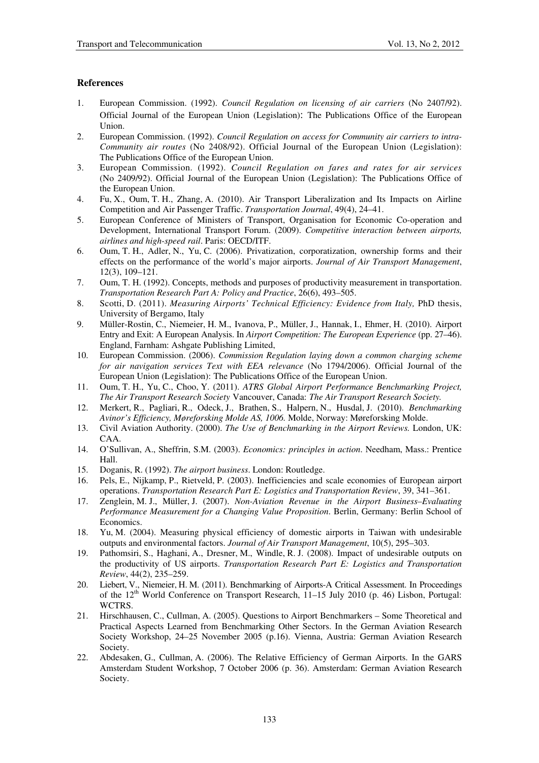# **References**

- 1. European Commission. (1992). *Council Regulation on licensing of air carriers* (No 2407/92). Official Journal of the European Union (Legislation): The Publications Office of the European Union.
- 2. European Commission. (1992). *Council Regulation on access for Community air carriers to intra-Community air routes* (No 2408/92). Official Journal of the European Union (Legislation): The Publications Office of the European Union.
- 3. European Commission. (1992). *Council Regulation on fares and rates for air services* (No 2409/92). Official Journal of the European Union (Legislation): The Publications Office of the European Union.
- 4. Fu, X., Oum, T. H., Zhang, A. (2010). Air Transport Liberalization and Its Impacts on Airline Competition and Air Passenger Traffic. *Transportation Journal*, 49(4), 24–41.
- 5. European Conference of Ministers of Transport, Organisation for Economic Co-operation and Development, International Transport Forum. (2009). *Competitive interaction between airports, airlines and high-speed rail*. Paris: OECD/ITF.
- 6. Oum, T. H., Adler, N., Yu, C. (2006). Privatization, corporatization, ownership forms and their effects on the performance of the world's major airports. *Journal of Air Transport Management*, 12(3), 109–121.
- 7. Oum, T. H. (1992). Concepts, methods and purposes of productivity measurement in transportation. *Transportation Research Part A: Policy and Practice*, 26(6), 493–505.
- 8. Scotti, D. (2011). *Measuring Airports' Technical Efficiency: Evidence from Italy,* PhD thesis, University of Bergamo, Italy
- 9. Müller-Rostin, C., Niemeier, H. M., Ivanova, P., Müller, J., Hannak, I., Ehmer, H. (2010). Airport Entry and Exit: A European Analysis. In *Airport Competition: The European Experience* (pp. 27–46). England, Farnham: Ashgate Publishing Limited,
- 10. European Commission. (2006). *Commission Regulation laying down a common charging scheme for air navigation services Text with EEA relevance* (No 1794/2006). Official Journal of the European Union (Legislation): The Publications Office of the European Union.
- 11. Oum, T. H., Yu, C., Choo, Y. (2011). *ATRS Global Airport Performance Benchmarking Project, The Air Transport Research Society* Vancouver, Canada: *The Air Transport Research Society.*
- 12. Merkert, R., Pagliari, R., Odeck, J., Brathen, S., Halpern, N., Husdal, J. (2010). *Benchmarking Avinor's Efficiency, Møreforsking Molde AS, 1006.* Molde, Norway: Møreforsking Molde.
- 13. Civil Aviation Authority. (2000). *The Use of Benchmarking in the Airport Reviews.* London, UK: CAA.
- 14. O'Sullivan, A., Sheffrin, S.M. (2003). *Economics: principles in action*. Needham, Mass.: Prentice Hall.
- 15. Doganis, R. (1992). *The airport business*. London: Routledge.
- 16. Pels, E., Nijkamp, P., Rietveld, P. (2003). Inefficiencies and scale economies of European airport operations. *Transportation Research Part E: Logistics and Transportation Review*, 39, 341–361.
- 17. Zenglein, M. J., Müller, J. (2007). *Non-Aviation Revenue in the Airport Business–Evaluating Performance Measurement for a Changing Value Proposition*. Berlin, Germany: Berlin School of Economics.
- 18. Yu, M. (2004). Measuring physical efficiency of domestic airports in Taiwan with undesirable outputs and environmental factors. *Journal of Air Transport Management*, 10(5), 295–303.
- 19. Pathomsiri, S., Haghani, A., Dresner, M., Windle, R. J. (2008). Impact of undesirable outputs on the productivity of US airports. *Transportation Research Part E: Logistics and Transportation Review*, 44(2), 235–259.
- 20. Liebert, V., Niemeier, H. M. (2011). Benchmarking of Airports-A Critical Assessment. In Proceedings of the 12<sup>th</sup> World Conference on Transport Research, 11–15 July 2010 (p. 46) Lisbon, Portugal: WCTRS.
- 21. Hirschhausen, C., Cullman, A. (2005). Questions to Airport Benchmarkers Some Theoretical and Practical Aspects Learned from Benchmarking Other Sectors. In the German Aviation Research Society Workshop, 24–25 November 2005 (p.16). Vienna, Austria: German Aviation Research Society.
- 22. Abdesaken, G., Cullman, A. (2006). The Relative Efficiency of German Airports. In the GARS Amsterdam Student Workshop, 7 October 2006 (p. 36). Amsterdam: German Aviation Research Society.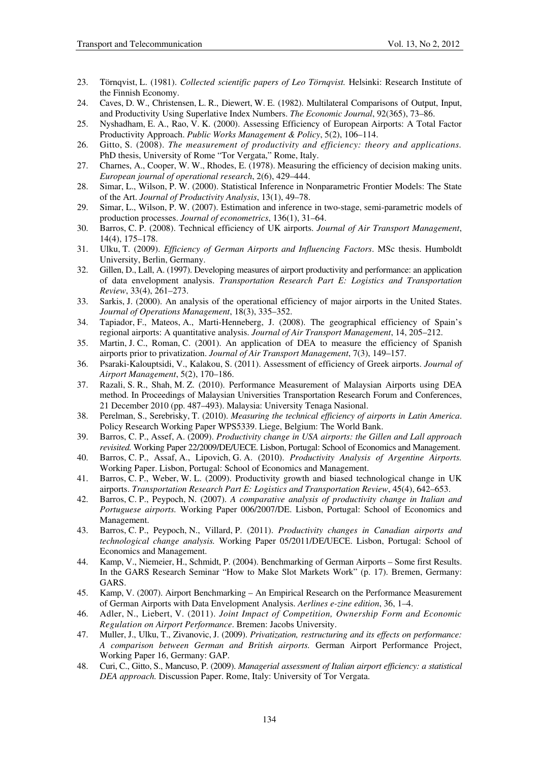- 23. Törnqvist, L. (1981). *Collected scientific papers of Leo Törnqvist.* Helsinki: Research Institute of the Finnish Economy.
- 24. Caves, D. W., Christensen, L. R., Diewert, W. E. (1982). Multilateral Comparisons of Output, Input, and Productivity Using Superlative Index Numbers. *The Economic Journal*, 92(365), 73–86.
- 25. Nyshadham, E. A., Rao, V. K. (2000). Assessing Efficiency of European Airports: A Total Factor Productivity Approach. *Public Works Management & Policy*, 5(2), 106–114.
- 26. Gitto, S. (2008). *The measurement of productivity and efficiency: theory and applications.* PhD thesis, University of Rome "Tor Vergata," Rome, Italy.
- 27. Charnes, A., Cooper, W. W., Rhodes, E. (1978). Measuring the efficiency of decision making units. *European journal of operational research*, 2(6), 429–444.
- 28. Simar, L., Wilson, P. W. (2000). Statistical Inference in Nonparametric Frontier Models: The State of the Art. *Journal of Productivity Analysis*, 13(1), 49–78.
- 29. Simar, L., Wilson, P. W. (2007). Estimation and inference in two-stage, semi-parametric models of production processes. *Journal of econometrics*, 136(1), 31–64.
- 30. Barros, C. P. (2008). Technical efficiency of UK airports. *Journal of Air Transport Management*, 14(4), 175–178.
- 31. Ulku, T. (2009). *Efficiency of German Airports and Influencing Factors*. MSc thesis. Humboldt University, Berlin, Germany.
- 32. Gillen, D., Lall, A. (1997). Developing measures of airport productivity and performance: an application of data envelopment analysis. *Transportation Research Part E: Logistics and Transportation Review*, 33(4), 261–273.
- 33. Sarkis, J. (2000). An analysis of the operational efficiency of major airports in the United States. *Journal of Operations Management*, 18(3), 335–352.
- 34. Tapiador, F., Mateos, A., Marti-Henneberg, J. (2008). The geographical efficiency of Spain's regional airports: A quantitative analysis. *Journal of Air Transport Management*, 14, 205–212.
- 35. Martin, J. C., Roman, C. (2001). An application of DEA to measure the efficiency of Spanish airports prior to privatization. *Journal of Air Transport Management*, 7(3), 149–157.
- 36. Psaraki-Kalouptsidi, V., Kalakou, S. (2011). Assessment of efficiency of Greek airports. *Journal of Airport Management*, 5(2), 170–186.
- 37. Razali, S. R., Shah, M. Z. (2010). Performance Measurement of Malaysian Airports using DEA method. In Proceedings of Malaysian Universities Transportation Research Forum and Conferences, 21 December 2010 (pp. 487–493). Malaysia: University Tenaga Nasional.
- 38. Perelman, S., Serebrisky, T. (2010). *Measuring the technical efficiency of airports in Latin America*. Policy Research Working Paper WPS5339. Liege, Belgium: The World Bank.
- 39. Barros, C. P., Assef, A. (2009). *Productivity change in USA airports: the Gillen and Lall approach revisited.* Working Paper 22/2009/DE/UECE. Lisbon, Portugal: School of Economics and Management.
- 40. Barros, C. P., Assaf, A., Lipovich, G. A. (2010). *Productivity Analysis of Argentine Airports.* Working Paper. Lisbon, Portugal: School of Economics and Management.
- 41. Barros, C. P., Weber, W. L. (2009). Productivity growth and biased technological change in UK airports. *Transportation Research Part E: Logistics and Transportation Review*, 45(4), 642–653.
- 42. Barros, C. P., Peypoch, N. (2007). *A comparative analysis of productivity change in Italian and Portuguese airports.* Working Paper 006/2007/DE. Lisbon, Portugal: School of Economics and Management.
- 43. Barros, C. P., Peypoch, N., Villard, P. (2011). *Productivity changes in Canadian airports and technological change analysis.* Working Paper 05/2011/DE/UECE. Lisbon, Portugal: School of Economics and Management.
- 44. Kamp, V., Niemeier, H., Schmidt, P. (2004). Benchmarking of German Airports Some first Results. In the GARS Research Seminar "How to Make Slot Markets Work" (p. 17). Bremen, Germany: GARS.
- 45. Kamp, V. (2007). Airport Benchmarking An Empirical Research on the Performance Measurement of German Airports with Data Envelopment Analysis. *Aerlines e-zine edition*, 36, 1–4.
- 46. Adler, N., Liebert, V. (2011). *Joint Impact of Competition, Ownership Form and Economic Regulation on Airport Performance*. Bremen: Jacobs University.
- 47. Muller, J., Ulku, T., Zivanovic, J. (2009). *Privatization, restructuring and its effects on performance: A comparison between German and British airports.* German Airport Performance Project, Working Paper 16, Germany: GAP.
- 48. Curi, C., Gitto, S., Mancuso, P. (2009). *Managerial assessment of Italian airport efficiency: a statistical DEA approach.* Discussion Paper. Rome, Italy: University of Tor Vergata.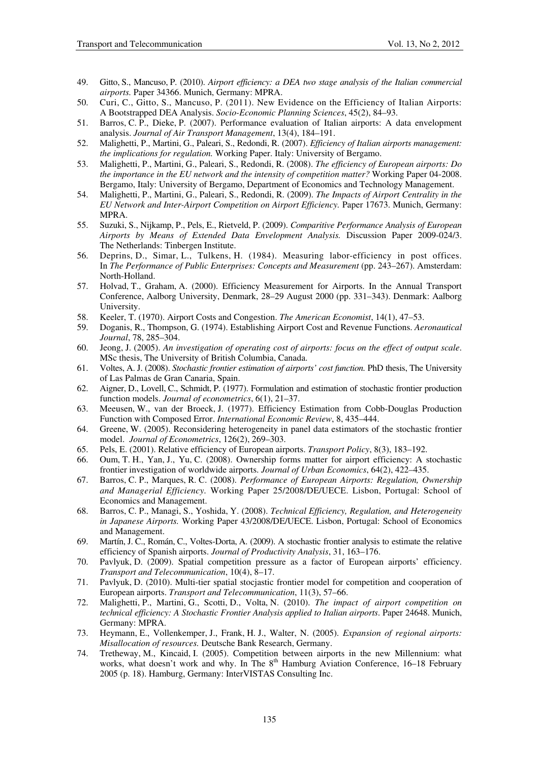- 49. Gitto, S., Mancuso, P. (2010). *Airport efficiency: a DEA two stage analysis of the Italian commercial airports.* Paper 34366. Munich, Germany: MPRA.
- 50. Curi, C., Gitto, S., Mancuso, P. (2011). New Evidence on the Efficiency of Italian Airports: A Bootstrapped DEA Analysis. *Socio-Economic Planning Sciences*, 45(2), 84–93.
- 51. Barros, C. P., Dieke, P. (2007). Performance evaluation of Italian airports: A data envelopment analysis. *Journal of Air Transport Management*, 13(4), 184–191.
- 52. Malighetti, P., Martini, G., Paleari, S., Redondi, R. (2007). *Efficiency of Italian airports management: the implications for regulation.* Working Paper. Italy: University of Bergamo.
- 53. Malighetti, P., Martini, G., Paleari, S., Redondi, R. (2008). *The efficiency of European airports: Do the importance in the EU network and the intensity of competition matter?* Working Paper 04-2008. Bergamo, Italy: University of Bergamo, Department of Economics and Technology Management.
- 54. Malighetti, P., Martini, G., Paleari, S., Redondi, R. (2009). *The Impacts of Airport Centrality in the EU Network and Inter-Airport Competition on Airport Efficiency.* Paper 17673. Munich, Germany: MPRA.
- 55. Suzuki, S., Nijkamp, P., Pels, E., Rietveld, P. (2009). *Comparitive Performance Analysis of European Airports by Means of Extended Data Envelopment Analysis.* Discussion Paper 2009-024/3. The Netherlands: Tinbergen Institute.
- 56. Deprins, D., Simar, L., Tulkens, H. (1984). Measuring labor-efficiency in post offices. In *The Performance of Public Enterprises: Concepts and Measurement* (pp. 243–267). Amsterdam: North-Holland.
- 57. Holvad, T., Graham, A. (2000). Efficiency Measurement for Airports. In the Annual Transport Conference, Aalborg University, Denmark, 28–29 August 2000 (pp. 331–343). Denmark: Aalborg University.
- 58. Keeler, T. (1970). Airport Costs and Congestion. *The American Economist*, 14(1), 47–53.
- 59. Doganis, R., Thompson, G. (1974). Establishing Airport Cost and Revenue Functions. *Aeronautical Journal*, 78, 285–304.
- 60. Jeong, J. (2005). *An investigation of operating cost of airports: focus on the effect of output scale*. MSc thesis, The University of British Columbia, Canada.
- 61. Voltes, A. J. (2008). *Stochastic frontier estimation of airports' cost function.* PhD thesis, The University of Las Palmas de Gran Canaria, Spain.
- 62. Aigner, D., Lovell, C., Schmidt, P. (1977). Formulation and estimation of stochastic frontier production function models. *Journal of econometrics*, 6(1), 21–37.
- 63. Meeusen, W., van der Broeck, J. (1977). Efficiency Estimation from Cobb-Douglas Production Function with Composed Error. *International Economic Review*, 8, 435–444.
- 64. Greene, W. (2005). Reconsidering heterogeneity in panel data estimators of the stochastic frontier model. *Journal of Econometrics*, 126(2), 269–303.
- 65. Pels, E. (2001). Relative efficiency of European airports. *Transport Policy*, 8(3), 183–192.
- 66. Oum, T. H., Yan, J., Yu, C. (2008). Ownership forms matter for airport efficiency: A stochastic frontier investigation of worldwide airports. *Journal of Urban Economics*, 64(2), 422–435.
- 67. Barros, C. P., Marques, R. C. (2008). *Performance of European Airports: Regulation, Ownership and Managerial Efficiency.* Working Paper 25/2008/DE/UECE. Lisbon, Portugal: School of Economics and Management.
- 68. Barros, C. P., Managi, S., Yoshida, Y. (2008). *Technical Efficiency, Regulation, and Heterogeneity in Japanese Airports.* Working Paper 43/2008/DE/UECE. Lisbon, Portugal: School of Economics and Management.
- 69. Martín, J. C., Román, C., Voltes-Dorta, A. (2009). A stochastic frontier analysis to estimate the relative efficiency of Spanish airports. *Journal of Productivity Analysis*, 31, 163–176.
- 70. Pavlyuk, D. (2009). Spatial competition pressure as a factor of European airports' efficiency. *Transport and Telecommunication*, 10(4), 8–17.
- 71. Pavlyuk, D. (2010). Multi-tier spatial stocjastic frontier model for competition and cooperation of European airports. *Transport and Telecommunication*, 11(3), 57–66.
- 72. Malighetti, P., Martini, G., Scotti, D., Volta, N. (2010). *The impact of airport competition on technical efficiency: A Stochastic Frontier Analysis applied to Italian airports*. Paper 24648. Munich, Germany: MPRA.
- 73. Heymann, E., Vollenkemper, J., Frank, H. J., Walter, N. (2005). *Expansion of regional airports: Misallocation of resources.* Deutsche Bank Research, Germany.
- 74. Tretheway, M., Kincaid, I. (2005). Competition between airports in the new Millennium: what works, what doesn't work and why. In The 8<sup>th</sup> Hamburg Aviation Conference, 16–18 February 2005 (p. 18). Hamburg, Germany: InterVISTAS Consulting Inc.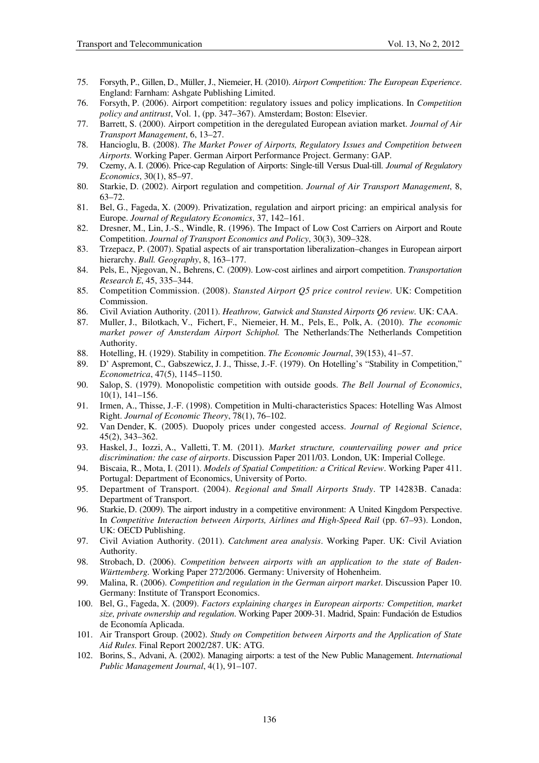- 75. Forsyth, P., Gillen, D., Müller, J., Niemeier, H. (2010). *Airport Competition: The European Experience*. England: Farnham: Ashgate Publishing Limited.
- 76. Forsyth, P. (2006). Airport competition: regulatory issues and policy implications. In *Competition policy and antitrust*, Vol. 1, (pp. 347–367). Amsterdam; Boston: Elsevier.
- 77. Barrett, S. (2000). Airport competition in the deregulated European aviation market. *Journal of Air Transport Management*, 6, 13–27.
- 78. Hancioglu, B. (2008). *The Market Power of Airports, Regulatory Issues and Competition between Airports.* Working Paper. German Airport Performance Project. Germany: GAP.
- 79. Czerny, A. I. (2006). Price-cap Regulation of Airports: Single-till Versus Dual-till. *Journal of Regulatory Economics*, 30(1), 85–97.
- 80. Starkie, D. (2002). Airport regulation and competition. *Journal of Air Transport Management*, 8, 63–72.
- 81. Bel, G., Fageda, X. (2009). Privatization, regulation and airport pricing: an empirical analysis for Europe. *Journal of Regulatory Economics*, 37, 142–161.
- 82. Dresner, M., Lin, J.-S., Windle, R. (1996). The Impact of Low Cost Carriers on Airport and Route Competition. *Journal of Transport Economics and Policy*, 30(3), 309–328.
- 83. Trzepacz, P. (2007). Spatial aspects of air transportation liberalization–changes in European airport hierarchy. *Bull. Geography*, 8, 163–177.
- 84. Pels, E., Njegovan, N., Behrens, C. (2009). Low-cost airlines and airport competition. *Transportation Research E*, 45, 335–344.
- 85. Competition Commission. (2008). *Stansted Airport Q5 price control review.* UK: Competition Commission.
- 86. Civil Aviation Authority. (2011). *Heathrow, Gatwick and Stansted Airports Q6 review.* UK: CAA.
- 87. Muller, J., Bilotkach, V., Fichert, F., Niemeier, H. M., Pels, E., Polk, A. (2010). *The economic market power of Amsterdam Airport Schiphol.* The Netherlands:The Netherlands Competition Authority.
- 88. Hotelling, H. (1929). Stability in competition. *The Economic Journal*, 39(153), 41–57.
- 89. D' Aspremont, C., Gabszewicz, J. J., Thisse, J.-F. (1979). On Hotelling's "Stability in Competition," *Econometrica*, 47(5), 1145–1150.
- 90. Salop, S. (1979). Monopolistic competition with outside goods. *The Bell Journal of Economics*, 10(1), 141–156.
- 91. Irmen, A., Thisse, J.-F. (1998). Competition in Multi-characteristics Spaces: Hotelling Was Almost Right. *Journal of Economic Theory*, 78(1), 76–102.
- 92. Van Dender, K. (2005). Duopoly prices under congested access. *Journal of Regional Science*, 45(2), 343–362.
- 93. Haskel, J., Iozzi, A., Valletti, T. M. (2011). *Market structure, countervailing power and price discrimination: the case of airports*. Discussion Paper 2011/03. London, UK: Imperial College.
- 94. Biscaia, R., Mota, I. (2011). *Models of Spatial Competition: a Critical Review*. Working Paper 411. Portugal: Department of Economics, University of Porto.
- 95. Department of Transport. (2004). *Regional and Small Airports Study*. TP 14283B. Canada: Department of Transport.
- 96. Starkie, D. (2009). The airport industry in a competitive environment: A United Kingdom Perspective. In *Competitive Interaction between Airports, Airlines and High-Speed Rail* (pp. 67–93). London, UK: OECD Publishing.
- 97. Civil Aviation Authority. (2011). *Catchment area analysis*. Working Paper. UK: Civil Aviation Authority.
- 98. Strobach, D. (2006). *Competition between airports with an application to the state of Baden-Württemberg.* Working Paper 272/2006. Germany: University of Hohenheim.
- 99. Malina, R. (2006). *Competition and regulation in the German airport market*. Discussion Paper 10. Germany: Institute of Transport Economics.
- 100. Bel, G., Fageda, X. (2009). *Factors explaining charges in European airports: Competition, market size, private ownership and regulation*. Working Paper 2009-31. Madrid, Spain: Fundación de Estudios de Economía Aplicada.
- 101. Air Transport Group. (2002). *Study on Competition between Airports and the Application of State Aid Rules.* Final Report 2002/287. UK: ATG.
- 102. Borins, S., Advani, A. (2002). Managing airports: a test of the New Public Management. *International Public Management Journal*, 4(1), 91–107.